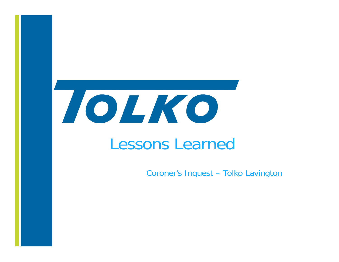

**Page 1**

# Lessons Learned

Coroner's Inquest – Tolko Lavington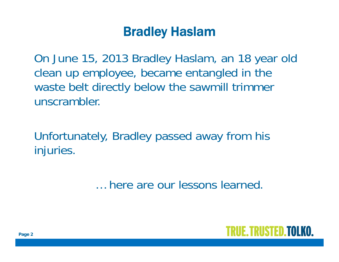#### Bradley Haslam

On June 15, 2013 Bradley Haslam, an 18 year old clean up employee, became entangled in the waste belt directly below the sawmill trimmer unscrambler.

Unfortunately, Bradley passed away from his injuries.

… here are our lessons learned.

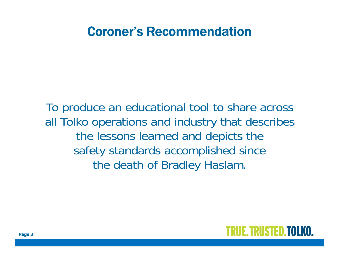#### Coroner's Recommendation

To produce an educational tool to share across all Tolko operations and industry that describes the lessons learned and depicts the safety standards accomplished since the death of Bradley Haslam.

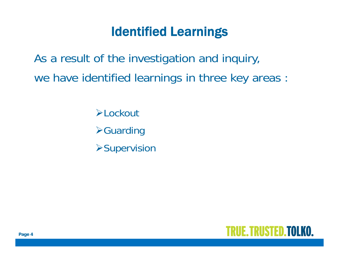## Identified Learnings

As a result of the investigation and inquiry, we have identified learnings in three key areas :

**≻Lockout** 

**≻Guarding** 

**>Supervision** 

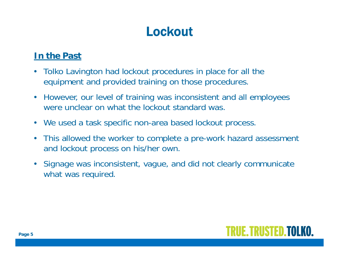# **Lockout**

#### **In the Past**

- $\bullet$  Tolko Lavington had lockout procedures in place for all the equipment and provided training on those procedures.
- However, our level of training was inconsistent and all employees were unclear on what the lockout standard was.
- We used a task specific non-area based lockout process.
- $\bullet$  This allowed the worker to complete a pre-work hazard assessment and lockout process on his/her own.
- $\bullet$  Signage was inconsistent, vague, and did not clearly communicate what was required.

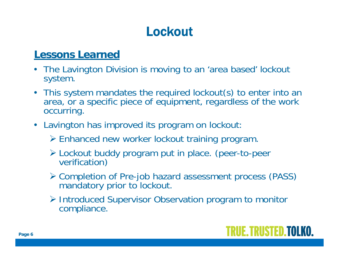# **Lockout**

#### **Lessons Learned**

- The Lavington Division is moving to an 'area based' lockout system.
- $\bullet$  This system mandates the required lockout(s) to enter into an area, or a specific piece of equipment, regardless of the work occurring.
- Lavington has improved its program on lockout
	- Enhanced new worker lockout training program.
	- Lockout buddy program put in place. (peer-to-peer verification)
	- Completion of Pre-job hazard assessment process (PASS) mandatory prior to lockout.
	- Introduced Supervisor Observation program to monitor compliance.

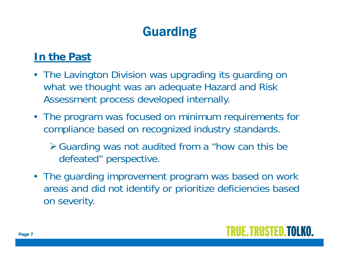# Guarding

#### **In the Past**

- The Lavington Division was upgrading its guarding on what we thought was an adequate Hazard and Risk Assessment process developed internally.
- The program was focused on minimum requirements for compliance based on recognized industry standards.
	- Guarding was not audited from a "how can this be defeated" perspective.
- The guarding improvement program was based on work areas and did not identify or prioritize deficiencies based on severity.

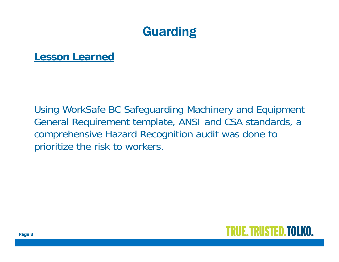## Guarding

**Lesson Learned**

Using WorkSafe BC Safeguarding Machinery and Equipment General Requirement template, ANSI and CSA standards, a comprehensive Hazard Recognition audit was done to prioritize the risk to workers.

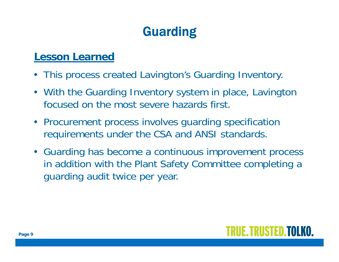# Guarding

#### **Lesson Learned**

- This process created Lavington's Guarding Inventory.
- With the Guarding Inventory system in place, Lavington focused on the most severe hazards first.
- Procurement process involves guarding specification requirements under the CSA and ANSI standards.
- Guarding has become a continuous improvement process in addition with the Plant Safety Committee completing a guarding audit twice per year.

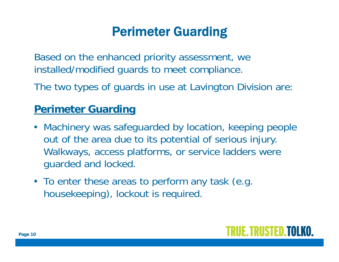## Perimeter Guarding

Based on the enhanced priority assessment, we installed/modified guards to meet compliance.

The two types of guards in use at Lavington Division are:

#### **Perimeter Guarding**

- Machinery was safeguarded by location, keeping people out of the area due to its potential of serious injury. Walkways, access platforms, or service ladders were guarded and locked.
- To enter these areas to perform any task (e.g. housekeeping), lockout is required.

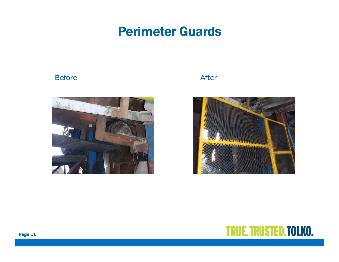#### Perimeter Guards

#### Before After





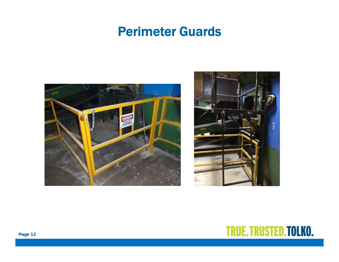#### Perimeter Guards





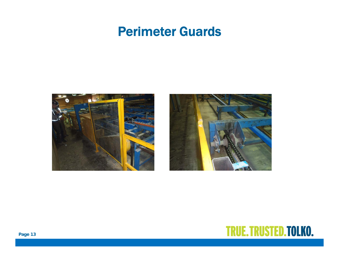#### Perimeter Guards





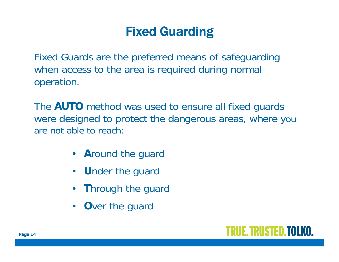Fixed Guards are the preferred means of safeguarding when access to the area is required during normal operation.

The **AUTO** method was used to ensure all fixed guards were designed to protect the dangerous areas, where you are not able to reach:

- **A**round the guard
- **U**nder the guard
- •**T**hrough the guard
- **O**ver the guard

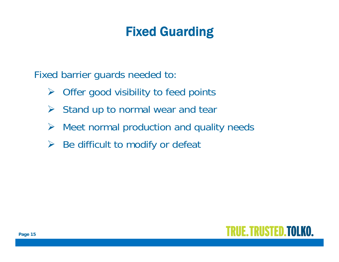Fixed barrier guards needed to:

- $\triangleright$ Offer good visibility to feed points
- $\sum_{i=1}^{n}$ Stand up to normal wear and tear
- $\sum_{i=1}^{n}$ Meet normal production and quality needs
- $\blacktriangleright$ Be difficult to modify or defeat

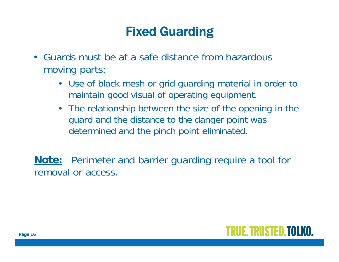- Guards must be at a safe distance from hazardous moving parts:
	- Use of black mesh or grid guarding material in order to maintain good visual of operating equipment.
	- The relationship between the size of the opening in the guard and the distance to the danger point was determined and the pinch point eliminated.

**Note:** Perimeter and barrier guarding require a tool for removal or access.

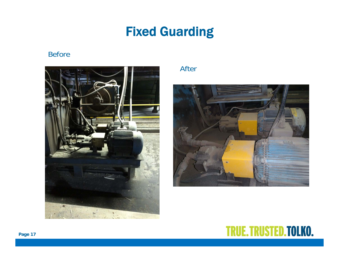#### Before



#### After



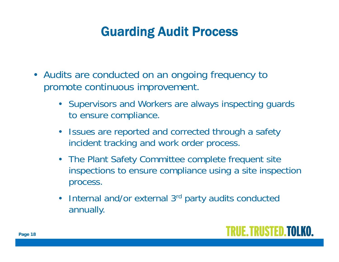## Guarding Audit Process

- Audits are conducted on an ongoing frequency to promote continuous improvement.
	- Supervisors and Workers are always inspecting guards to ensure compliance.
	- Issues are reported and corrected through a safety incident tracking and work order process.
	- The Plant Safety Committee complete frequent site inspections to ensure compliance using a site inspection process.
	- Internal and/or external 3<sup>rd</sup> party audits conducted annually.

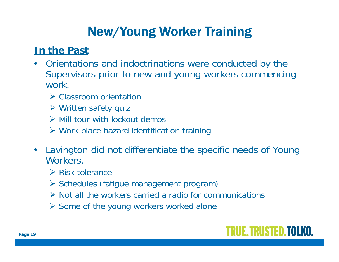#### **In the Past**

- • Orientations and indoctrinations were conducted by the Supervisors prior to new and young workers commencing work.
	- **≻ Classroom orientation**
	- Written safety quiz
	- $\triangleright$  Mill tour with lockout demos
	- Work place hazard identification training
- $\bullet$  Lavington did not differentiate the specific needs of Young Workers.
	- $\triangleright$  Risk tolerance
	- > Schedules (fatigue management program)
	- $\triangleright$  Not all the workers carried a radio for communications
	- **≻** Some of the young workers worked alone

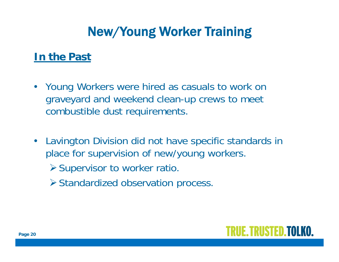#### **In the Past**

- Young Workers were hired as casuals to work on graveyard and weekend clean-up crews to meet combustible dust requirements.
- Lavington Division did not have specific standards in place for supervision of new/young workers.
	- $\triangleright$  Supervisor to worker ratio.
	- Standardized observation process.

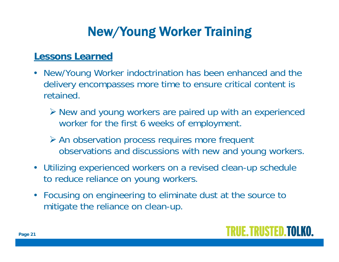#### **Lessons Learned**

- New/Young Worker indoctrination has been enhanced and the delivery encompasses more time to ensure critical content is retained.
	- New and young workers are paired up with an experienced worker for the first 6 weeks of employment.
	- **≻** An observation process requires more frequent observations and discussions with new and young workers.
- Utilizing experienced workers on a revised clean-up schedule to reduce reliance on young workers.
- Focusing on engineering to eliminate dust at the source to mitigate the reliance on clean-up.

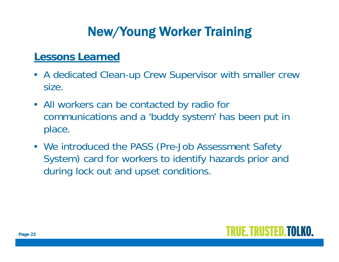#### **Lessons Learned**

- A dedicated Clean-up Crew Supervisor with smaller crew size.
- All workers can be contacted by radio for communications and a 'buddy system' has been put in place.
- We introduced the PASS (Pre-Job Assessment Safety System) card for workers to identify hazards prior and during lock out and upset conditions.

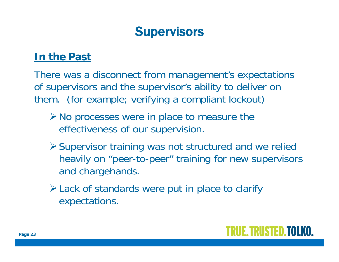## **Supervisors**

#### **In the Past**

There was a disconnect from management's expectations of supervisors and the supervisor's ability to deliver on them. (for example; verifying a compliant lockout)

- $\triangleright$  No processes were in place to measure the effectiveness of our supervision.
- Supervisor training was not structured and we relied heavily on "peer-to-peer" training for new supervisors and chargehands.
- Lack of standards were put in place to clarify expectations.

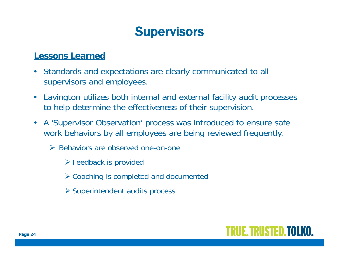## **Supervisors**

#### **Lessons Learned**

- $\bullet$  Standards and expectations are clearly communicated to all supervisors and employees.
- $\bullet$  Lavington utilizes both internal and external facility audit processes to help determine the effectiveness of their supervision.
- $\bullet$  A 'Supervisor Observation' process was introduced to ensure safe work behaviors by all employees are being reviewed frequently.
	- ▶ Behaviors are observed one-on-one
		- Feedback is provided
		- Coaching is completed and documented
		- Superintendent audits process

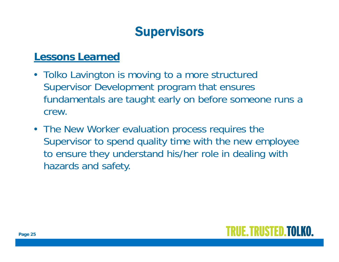## **Supervisors**

#### **Lessons Learned**

- Tolko Lavington is moving to a more structured Supervisor Development program that ensures fundamentals are taught early on before someone runs a crew.
- The New Worker evaluation process requires the Supervisor to spend quality time with the new employee to ensure they understand his/her role in dealing with hazards and safety.